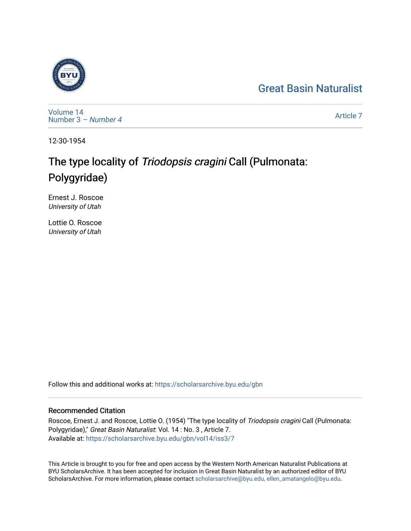# [Great Basin Naturalist](https://scholarsarchive.byu.edu/gbn)



[Volume 14](https://scholarsarchive.byu.edu/gbn/vol14) [Number 3](https://scholarsarchive.byu.edu/gbn/vol14/iss3) – Number 4

[Article 7](https://scholarsarchive.byu.edu/gbn/vol14/iss3/7) 

12-30-1954

# The type locality of Triodopsis cragini Call (Pulmonata: Polygyridae)

Ernest J. Roscoe University of Utah

Lottie O. Roscoe University of Utah

Follow this and additional works at: [https://scholarsarchive.byu.edu/gbn](https://scholarsarchive.byu.edu/gbn?utm_source=scholarsarchive.byu.edu%2Fgbn%2Fvol14%2Fiss3%2F7&utm_medium=PDF&utm_campaign=PDFCoverPages) 

## Recommended Citation

Roscoe, Ernest J. and Roscoe, Lottie O. (1954) "The type locality of Triodopsis cragini Call (Pulmonata: Polygyridae)," Great Basin Naturalist: Vol. 14 : No. 3 , Article 7. Available at: [https://scholarsarchive.byu.edu/gbn/vol14/iss3/7](https://scholarsarchive.byu.edu/gbn/vol14/iss3/7?utm_source=scholarsarchive.byu.edu%2Fgbn%2Fvol14%2Fiss3%2F7&utm_medium=PDF&utm_campaign=PDFCoverPages)

This Article is brought to you for free and open access by the Western North American Naturalist Publications at BYU ScholarsArchive. It has been accepted for inclusion in Great Basin Naturalist by an authorized editor of BYU ScholarsArchive. For more information, please contact [scholarsarchive@byu.edu, ellen\\_amatangelo@byu.edu.](mailto:scholarsarchive@byu.edu,%20ellen_amatangelo@byu.edu)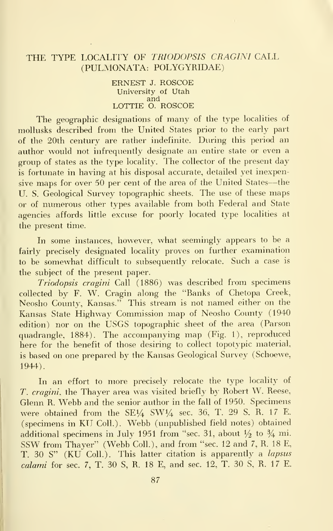### THE TYPE LOCALITY OF TRIODOPSIS CRAGINI CALL (PULMONATA: POLYGYRIDAE)

ERNEST J. ROSCOE University of Utah and<br>LOTTIE O. ROSCOE

The geographic designations of many of the type localities of mollusks described from the United States prior to the early part of the 20th century are rather indefinite. During this period an author would not infrequently designate an entire state or even a group of states as the type locality. The collector of the present day is fortunate in having at his disposal accurate, detailed yet inexpensive maps for over <sup>50</sup> per cent of the area of the United States—the U. S. Geological Survey topographic sheets. The use of these maps or of numerous other types available from both Federal and State agencies affords little excuse for poorly located type localities at the present time.

In some instances, however, what seemingly appears to be a fairly precisely designated locality proves on further examination to be somewhat difficult to subsequently relocate. Such a case is the subject of the present paper.

Triodopsis cragini Call (1886) was described from specimens collected by F. W. Cragin along the "Banks of Chetopa Creek, Neosho County, Kansas." This stream is not named either on the Kansas State Highway Commission map of Neosho County (1940 edition) nor on the USGS topographic sheet of the area (Parson quadrangle, 1884). The accompanying map (Fig. 1), reproduced here for the benefit of those desiring to collect topotypic material, is based on one prepared by the Kansas Geological Survey (Schoewe, 1944).

In an effort to more precisely relocate the type locality of T. cragini, the Thayer area was visited briefly by Robert W. Reese, Glenn R. Webb and the senior author in the fall of 1950. Specimens were obtained from the  $SE\frac{1}{4}$  SW1 $/4$  sec. 36, T. 29 S, R. 17 E. (specimens in KU Coll.). Webb (unpublished field notes) obtained additional specimens in July 1951 from "sec. 31, about  $\frac{1}{2}$  to  $\frac{3}{4}$  mi. SSW from Thayer" (Webb Coll.), and from "sec. <sup>12</sup> and 7, R. <sup>18</sup> E, T. 30 S" (KU Coll.). This latter citation is apparently a *lapsus* calami for sec. 7, T. 30 S, R. 18 E, and sec. 12, T. 30 S, R. 17 E.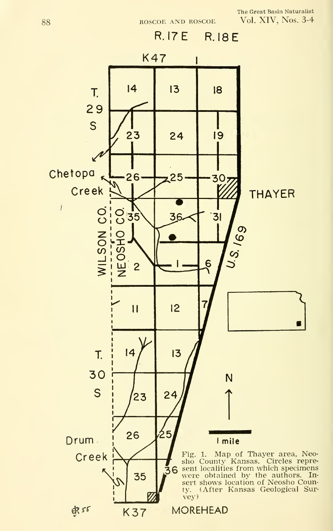The Great Basin Naturalist Vol. XIV, Nos. 3-4